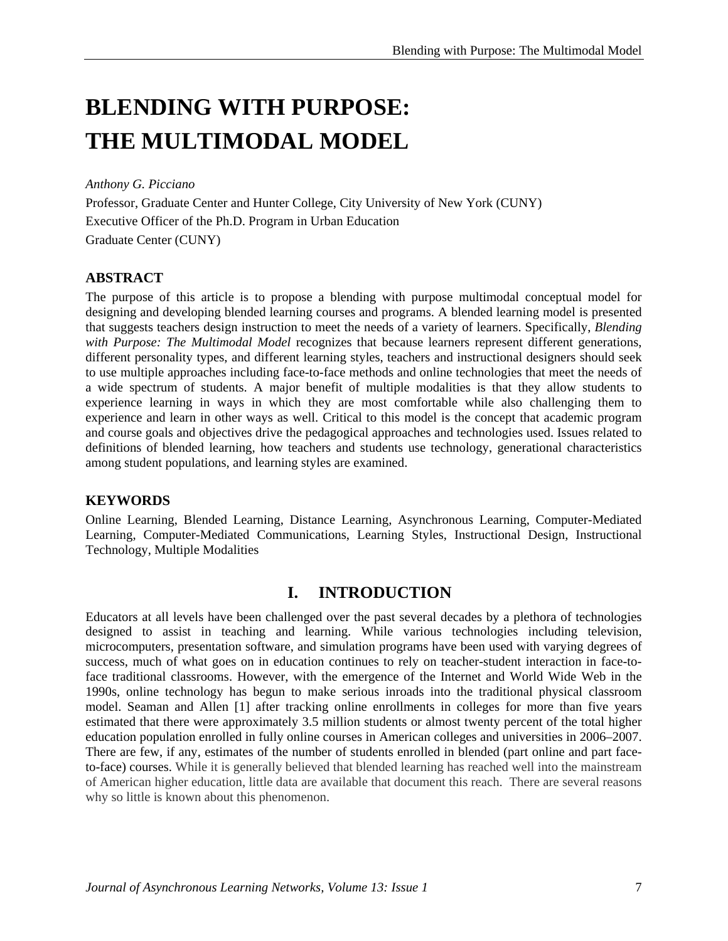# **BLENDING WITH PURPOSE: THE MULTIMODAL MODEL**

*Anthony G. Picciano* 

Professor, Graduate Center and Hunter College, City University of New York (CUNY) Executive Officer of the Ph.D. Program in Urban Education Graduate Center (CUNY)

#### **ABSTRACT**

The purpose of this article is to propose a blending with purpose multimodal conceptual model for designing and developing blended learning courses and programs. A blended learning model is presented that suggests teachers design instruction to meet the needs of a variety of learners. Specifically, *Blending with Purpose: The Multimodal Model* recognizes that because learners represent different generations, different personality types, and different learning styles, teachers and instructional designers should seek to use multiple approaches including face-to-face methods and online technologies that meet the needs of a wide spectrum of students. A major benefit of multiple modalities is that they allow students to experience learning in ways in which they are most comfortable while also challenging them to experience and learn in other ways as well. Critical to this model is the concept that academic program and course goals and objectives drive the pedagogical approaches and technologies used. Issues related to definitions of blended learning, how teachers and students use technology, generational characteristics among student populations, and learning styles are examined.

#### **KEYWORDS**

Online Learning, Blended Learning, Distance Learning, Asynchronous Learning, Computer-Mediated Learning, Computer-Mediated Communications, Learning Styles, Instructional Design, Instructional Technology, Multiple Modalities

#### **I. INTRODUCTION**

Educators at all levels have been challenged over the past several decades by a plethora of technologies designed to assist in teaching and learning. While various technologies including television, microcomputers, presentation software, and simulation programs have been used with varying degrees of success, much of what goes on in education continues to rely on teacher-student interaction in face-toface traditional classrooms. However, with the emergence of the Internet and World Wide Web in the 1990s, online technology has begun to make serious inroads into the traditional physical classroom model. Seaman and Allen [1] after tracking online enrollments in colleges for more than five years estimated that there were approximately 3.5 million students or almost twenty percent of the total higher education population enrolled in fully online courses in American colleges and universities in 2006–2007. There are few, if any, estimates of the number of students enrolled in blended (part online and part faceto-face) courses. While it is generally believed that blended learning has reached well into the mainstream of American higher education, little data are available that document this reach. There are several reasons why so little is known about this phenomenon.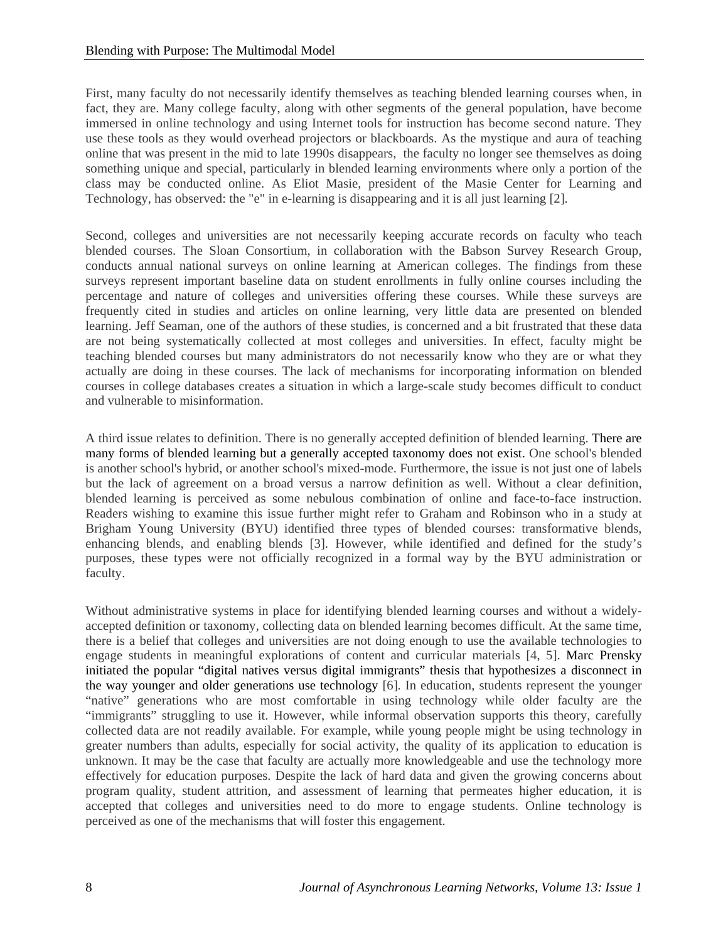First, many faculty do not necessarily identify themselves as teaching blended learning courses when, in fact, they are. Many college faculty, along with other segments of the general population, have become immersed in online technology and using Internet tools for instruction has become second nature. They use these tools as they would overhead projectors or blackboards. As the mystique and aura of teaching online that was present in the mid to late 1990s disappears, the faculty no longer see themselves as doing something unique and special, particularly in blended learning environments where only a portion of the class may be conducted online. As Eliot Masie, president of the Masie Center for Learning and Technology, has observed: the "e" in e-learning is disappearing and it is all just learning [2].

Second, colleges and universities are not necessarily keeping accurate records on faculty who teach blended courses. The Sloan Consortium, in collaboration with the Babson Survey Research Group, conducts annual national surveys on online learning at American colleges. The findings from these surveys represent important baseline data on student enrollments in fully online courses including the percentage and nature of colleges and universities offering these courses. While these surveys are frequently cited in studies and articles on online learning, very little data are presented on blended learning. Jeff Seaman, one of the authors of these studies, is concerned and a bit frustrated that these data are not being systematically collected at most colleges and universities. In effect, faculty might be teaching blended courses but many administrators do not necessarily know who they are or what they actually are doing in these courses. The lack of mechanisms for incorporating information on blended courses in college databases creates a situation in which a large-scale study becomes difficult to conduct and vulnerable to misinformation.

A third issue relates to definition. There is no generally accepted definition of blended learning. There are many forms of blended learning but a generally accepted taxonomy does not exist. One school's blended is another school's hybrid, or another school's mixed-mode. Furthermore, the issue is not just one of labels but the lack of agreement on a broad versus a narrow definition as well. Without a clear definition, blended learning is perceived as some nebulous combination of online and face-to-face instruction. Readers wishing to examine this issue further might refer to Graham and Robinson who in a study at Brigham Young University (BYU) identified three types of blended courses: transformative blends, enhancing blends, and enabling blends [3]. However, while identified and defined for the study's purposes, these types were not officially recognized in a formal way by the BYU administration or faculty.

Without administrative systems in place for identifying blended learning courses and without a widelyaccepted definition or taxonomy, collecting data on blended learning becomes difficult. At the same time, there is a belief that colleges and universities are not doing enough to use the available technologies to engage students in meaningful explorations of content and curricular materials [4, 5]. Marc Prensky initiated the popular "digital natives versus digital immigrants" thesis that hypothesizes a disconnect in the way younger and older generations use technology [6]. In education, students represent the younger "native" generations who are most comfortable in using technology while older faculty are the "immigrants" struggling to use it. However, while informal observation supports this theory, carefully collected data are not readily available. For example, while young people might be using technology in greater numbers than adults, especially for social activity, the quality of its application to education is unknown. It may be the case that faculty are actually more knowledgeable and use the technology more effectively for education purposes. Despite the lack of hard data and given the growing concerns about program quality, student attrition, and assessment of learning that permeates higher education, it is accepted that colleges and universities need to do more to engage students. Online technology is perceived as one of the mechanisms that will foster this engagement.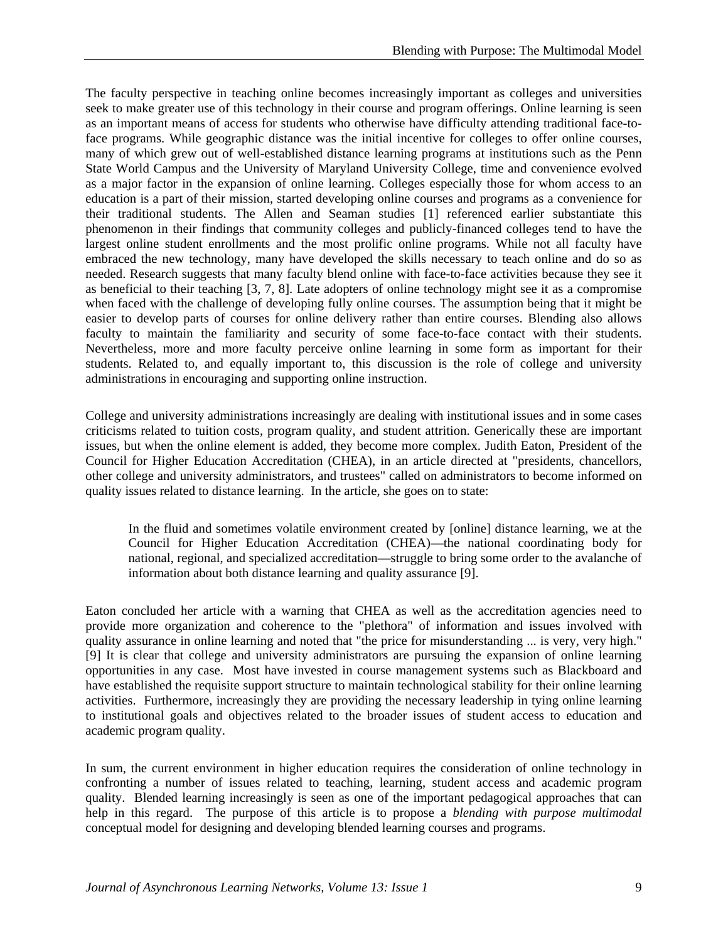The faculty perspective in teaching online becomes increasingly important as colleges and universities seek to make greater use of this technology in their course and program offerings. Online learning is seen as an important means of access for students who otherwise have difficulty attending traditional face-toface programs. While geographic distance was the initial incentive for colleges to offer online courses, many of which grew out of well-established distance learning programs at institutions such as the Penn State World Campus and the University of Maryland University College, time and convenience evolved as a major factor in the expansion of online learning. Colleges especially those for whom access to an education is a part of their mission, started developing online courses and programs as a convenience for their traditional students. The Allen and Seaman studies [1] referenced earlier substantiate this phenomenon in their findings that community colleges and publicly-financed colleges tend to have the largest online student enrollments and the most prolific online programs. While not all faculty have embraced the new technology, many have developed the skills necessary to teach online and do so as needed. Research suggests that many faculty blend online with face-to-face activities because they see it as beneficial to their teaching [3, 7, 8]. Late adopters of online technology might see it as a compromise when faced with the challenge of developing fully online courses. The assumption being that it might be easier to develop parts of courses for online delivery rather than entire courses. Blending also allows faculty to maintain the familiarity and security of some face-to-face contact with their students. Nevertheless, more and more faculty perceive online learning in some form as important for their students. Related to, and equally important to, this discussion is the role of college and university administrations in encouraging and supporting online instruction.

College and university administrations increasingly are dealing with institutional issues and in some cases criticisms related to tuition costs, program quality, and student attrition. Generically these are important issues, but when the online element is added, they become more complex. Judith Eaton, President of the Council for Higher Education Accreditation (CHEA), in an article directed at "presidents, chancellors, other college and university administrators, and trustees" called on administrators to become informed on quality issues related to distance learning. In the article, she goes on to state:

In the fluid and sometimes volatile environment created by [online] distance learning, we at the Council for Higher Education Accreditation (CHEA)—the national coordinating body for national, regional, and specialized accreditation—struggle to bring some order to the avalanche of information about both distance learning and quality assurance [9].

Eaton concluded her article with a warning that CHEA as well as the accreditation agencies need to provide more organization and coherence to the "plethora" of information and issues involved with quality assurance in online learning and noted that "the price for misunderstanding ... is very, very high." [9] It is clear that college and university administrators are pursuing the expansion of online learning opportunities in any case. Most have invested in course management systems such as Blackboard and have established the requisite support structure to maintain technological stability for their online learning activities. Furthermore, increasingly they are providing the necessary leadership in tying online learning to institutional goals and objectives related to the broader issues of student access to education and academic program quality.

In sum, the current environment in higher education requires the consideration of online technology in confronting a number of issues related to teaching, learning, student access and academic program quality. Blended learning increasingly is seen as one of the important pedagogical approaches that can help in this regard. The purpose of this article is to propose a *blending with purpose multimodal* conceptual model for designing and developing blended learning courses and programs.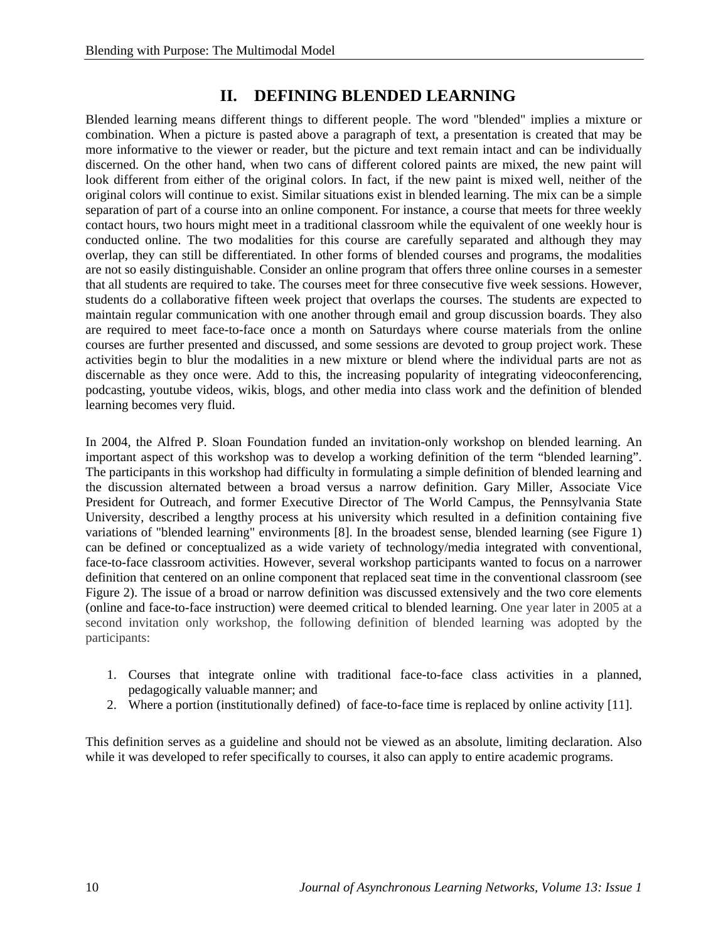## **II. DEFINING BLENDED LEARNING**

Blended learning means different things to different people. The word "blended" implies a mixture or combination. When a picture is pasted above a paragraph of text, a presentation is created that may be more informative to the viewer or reader, but the picture and text remain intact and can be individually discerned. On the other hand, when two cans of different colored paints are mixed, the new paint will look different from either of the original colors. In fact, if the new paint is mixed well, neither of the original colors will continue to exist. Similar situations exist in blended learning. The mix can be a simple separation of part of a course into an online component. For instance, a course that meets for three weekly contact hours, two hours might meet in a traditional classroom while the equivalent of one weekly hour is conducted online. The two modalities for this course are carefully separated and although they may overlap, they can still be differentiated. In other forms of blended courses and programs, the modalities are not so easily distinguishable. Consider an online program that offers three online courses in a semester that all students are required to take. The courses meet for three consecutive five week sessions. However, students do a collaborative fifteen week project that overlaps the courses. The students are expected to maintain regular communication with one another through email and group discussion boards. They also are required to meet face-to-face once a month on Saturdays where course materials from the online courses are further presented and discussed, and some sessions are devoted to group project work. These activities begin to blur the modalities in a new mixture or blend where the individual parts are not as discernable as they once were. Add to this, the increasing popularity of integrating videoconferencing, podcasting, youtube videos, wikis, blogs, and other media into class work and the definition of blended learning becomes very fluid.

In 2004, the Alfred P. Sloan Foundation funded an invitation-only workshop on blended learning. An important aspect of this workshop was to develop a working definition of the term "blended learning". The participants in this workshop had difficulty in formulating a simple definition of blended learning and the discussion alternated between a broad versus a narrow definition. Gary Miller, Associate Vice President for Outreach, and former Executive Director of The World Campus, the Pennsylvania State University, described a lengthy process at his university which resulted in a definition containing five variations of "blended learning" environments [8]. In the broadest sense, blended learning (see Figure 1) can be defined or conceptualized as a wide variety of technology/media integrated with conventional, face-to-face classroom activities. However, several workshop participants wanted to focus on a narrower definition that centered on an online component that replaced seat time in the conventional classroom (see Figure 2). The issue of a broad or narrow definition was discussed extensively and the two core elements (online and face-to-face instruction) were deemed critical to blended learning. One year later in 2005 at a second invitation only workshop, the following definition of blended learning was adopted by the participants:

- 1. Courses that integrate online with traditional face-to-face class activities in a planned, pedagogically valuable manner; and
- 2. Where a portion (institutionally defined) of face-to-face time is replaced by online activity [11].

This definition serves as a guideline and should not be viewed as an absolute, limiting declaration. Also while it was developed to refer specifically to courses, it also can apply to entire academic programs.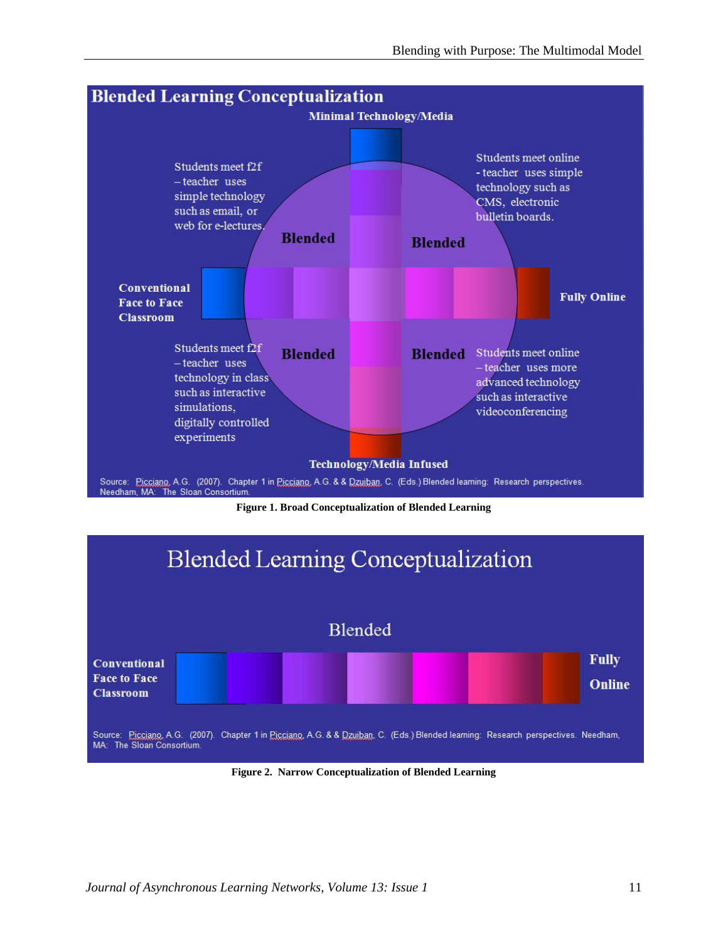

**Figure 1. Broad Conceptualization of Blended Learning** 



**Figure 2. Narrow Conceptualization of Blended Learning**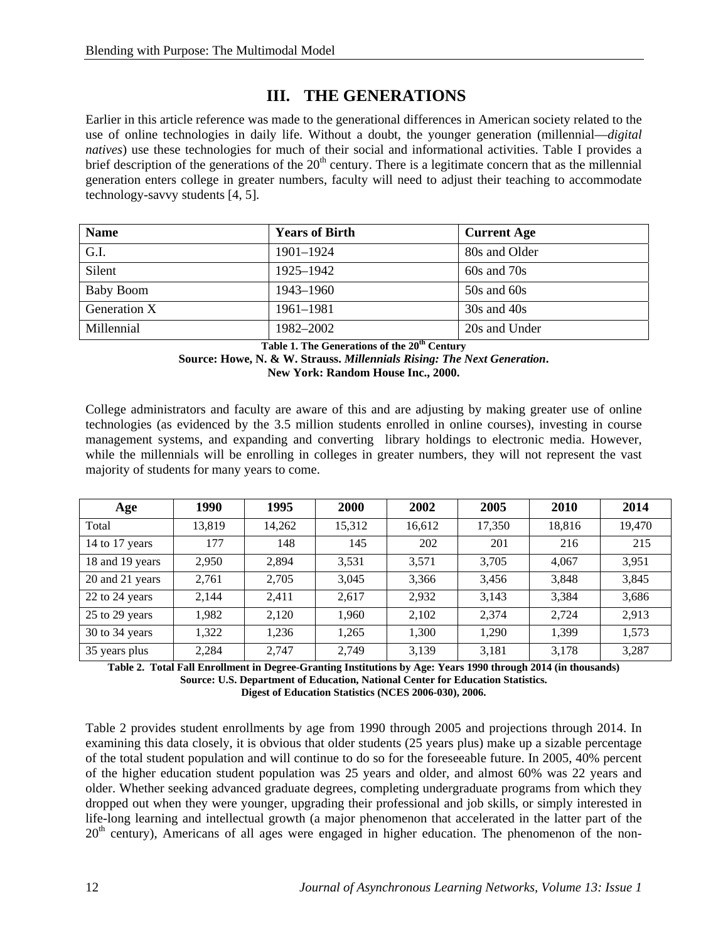# **III. THE GENERATIONS**

Earlier in this article reference was made to the generational differences in American society related to the use of online technologies in daily life. Without a doubt, the younger generation (millennial—*digital natives*) use these technologies for much of their social and informational activities. Table I provides a brief description of the generations of the  $20<sup>th</sup>$  century. There is a legitimate concern that as the millennial generation enters college in greater numbers, faculty will need to adjust their teaching to accommodate technology-savvy students [4, 5].

| <b>Name</b>      | <b>Years of Birth</b> | <b>Current Age</b> |
|------------------|-----------------------|--------------------|
| G.I.             | 1901–1924             | 80s and Older      |
| Silent           | 1925-1942             | $60s$ and $70s$    |
| <b>Baby Boom</b> | 1943-1960             | $50s$ and $60s$    |
| Generation X     | 1961-1981             | $30s$ and $40s$    |
| Millennial       | 1982–2002             | 20s and Under      |

Table 1. The Generations of the 20<sup>th</sup> Century

**Source: Howe, N. & W. Strauss.** *Millennials Rising: The Next Generation***. New York: Random House Inc., 2000.** 

College administrators and faculty are aware of this and are adjusting by making greater use of online technologies (as evidenced by the 3.5 million students enrolled in online courses), investing in course management systems, and expanding and converting library holdings to electronic media. However, while the millennials will be enrolling in colleges in greater numbers, they will not represent the vast majority of students for many years to come.

| Age             | 1990   | 1995   | 2000   | 2002   | 2005   | 2010   | 2014   |
|-----------------|--------|--------|--------|--------|--------|--------|--------|
| Total           | 13,819 | 14,262 | 15,312 | 16,612 | 17,350 | 18,816 | 19,470 |
| 14 to 17 years  | 177    | 148    | 145    | 202    | 201    | 216    | 215    |
| 18 and 19 years | 2,950  | 2,894  | 3,531  | 3,571  | 3,705  | 4,067  | 3,951  |
| 20 and 21 years | 2,761  | 2,705  | 3,045  | 3,366  | 3,456  | 3,848  | 3,845  |
| 22 to 24 years  | 2,144  | 2,411  | 2,617  | 2,932  | 3,143  | 3,384  | 3,686  |
| 25 to 29 years  | 1,982  | 2,120  | 1,960  | 2,102  | 2,374  | 2,724  | 2,913  |
| 30 to 34 years  | 1,322  | 1,236  | 1,265  | 1,300  | 1,290  | 1,399  | 1,573  |
| 35 years plus   | 2,284  | 2,747  | 2.749  | 3,139  | 3,181  | 3,178  | 3,287  |

**Table 2. Total Fall Enrollment in Degree-Granting Institutions by Age: Years 1990 through 2014 (in thousands) Source: U.S. Department of Education, National Center for Education Statistics. Digest of Education Statistics (NCES 2006-030), 2006.** 

Table 2 provides student enrollments by age from 1990 through 2005 and projections through 2014. In examining this data closely, it is obvious that older students (25 years plus) make up a sizable percentage of the total student population and will continue to do so for the foreseeable future. In 2005, 40% percent of the higher education student population was 25 years and older, and almost 60% was 22 years and older. Whether seeking advanced graduate degrees, completing undergraduate programs from which they dropped out when they were younger, upgrading their professional and job skills, or simply interested in life-long learning and intellectual growth (a major phenomenon that accelerated in the latter part of the  $20<sup>th</sup>$  century), Americans of all ages were engaged in higher education. The phenomenon of the non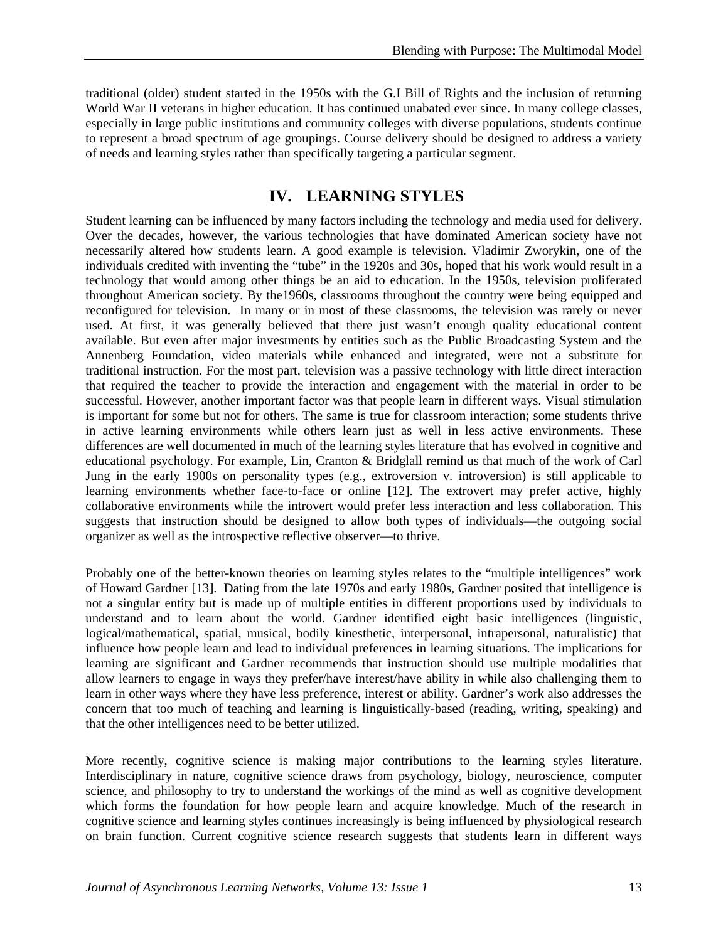traditional (older) student started in the 1950s with the G.I Bill of Rights and the inclusion of returning World War II veterans in higher education. It has continued unabated ever since. In many college classes, especially in large public institutions and community colleges with diverse populations, students continue to represent a broad spectrum of age groupings. Course delivery should be designed to address a variety of needs and learning styles rather than specifically targeting a particular segment.

## **IV. LEARNING STYLES**

Student learning can be influenced by many factors including the technology and media used for delivery. Over the decades, however, the various technologies that have dominated American society have not necessarily altered how students learn. A good example is television. Vladimir Zworykin, one of the individuals credited with inventing the "tube" in the 1920s and 30s, hoped that his work would result in a technology that would among other things be an aid to education. In the 1950s, television proliferated throughout American society. By the1960s, classrooms throughout the country were being equipped and reconfigured for television. In many or in most of these classrooms, the television was rarely or never used. At first, it was generally believed that there just wasn't enough quality educational content available. But even after major investments by entities such as the Public Broadcasting System and the Annenberg Foundation, video materials while enhanced and integrated, were not a substitute for traditional instruction. For the most part, television was a passive technology with little direct interaction that required the teacher to provide the interaction and engagement with the material in order to be successful. However, another important factor was that people learn in different ways. Visual stimulation is important for some but not for others. The same is true for classroom interaction; some students thrive in active learning environments while others learn just as well in less active environments. These differences are well documented in much of the learning styles literature that has evolved in cognitive and educational psychology. For example, Lin, Cranton & Bridglall remind us that much of the work of Carl Jung in the early 1900s on personality types (e.g., extroversion v. introversion) is still applicable to learning environments whether face-to-face or online [12]. The extrovert may prefer active, highly collaborative environments while the introvert would prefer less interaction and less collaboration. This suggests that instruction should be designed to allow both types of individuals—the outgoing social organizer as well as the introspective reflective observer—to thrive.

Probably one of the better-known theories on learning styles relates to the "multiple intelligences" work of Howard Gardner [13]. Dating from the late 1970s and early 1980s, Gardner posited that intelligence is not a singular entity but is made up of multiple entities in different proportions used by individuals to understand and to learn about the world. Gardner identified eight basic intelligences (linguistic, logical/mathematical, spatial, musical, bodily kinesthetic, interpersonal, intrapersonal, naturalistic) that influence how people learn and lead to individual preferences in learning situations. The implications for learning are significant and Gardner recommends that instruction should use multiple modalities that allow learners to engage in ways they prefer/have interest/have ability in while also challenging them to learn in other ways where they have less preference, interest or ability. Gardner's work also addresses the concern that too much of teaching and learning is linguistically-based (reading, writing, speaking) and that the other intelligences need to be better utilized.

More recently, cognitive science is making major contributions to the learning styles literature. Interdisciplinary in nature, cognitive science draws from psychology, biology, neuroscience, computer science, and philosophy to try to understand the workings of the mind as well as cognitive development which forms the foundation for how people learn and acquire knowledge. Much of the research in cognitive science and learning styles continues increasingly is being influenced by physiological research on brain function. Current cognitive science research suggests that students learn in different ways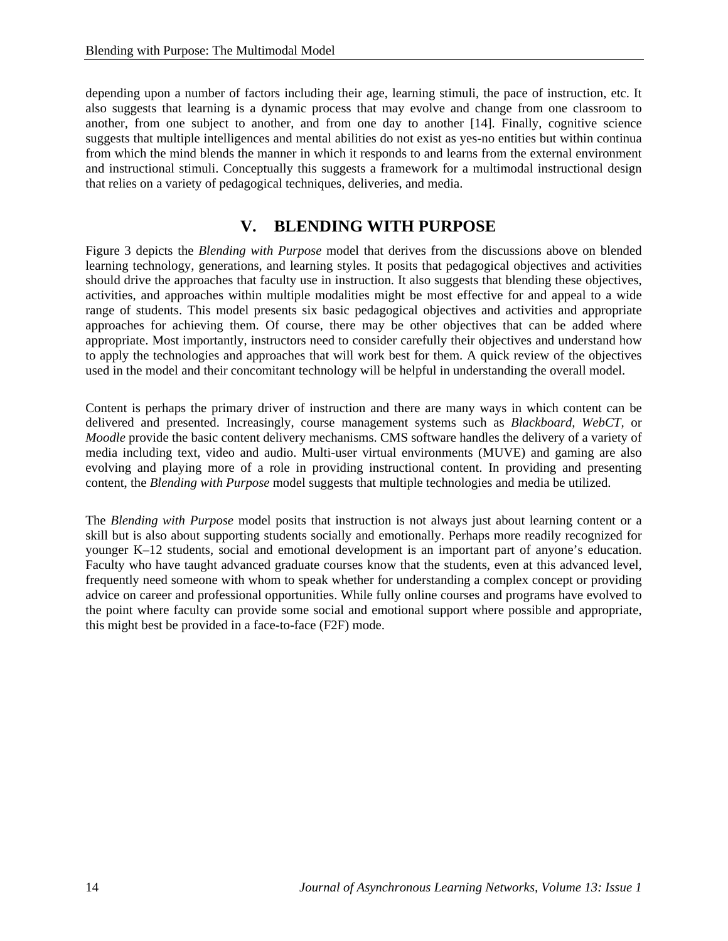depending upon a number of factors including their age, learning stimuli, the pace of instruction, etc. It also suggests that learning is a dynamic process that may evolve and change from one classroom to another, from one subject to another, and from one day to another [14]. Finally, cognitive science suggests that multiple intelligences and mental abilities do not exist as yes-no entities but within continua from which the mind blends the manner in which it responds to and learns from the external environment and instructional stimuli. Conceptually this suggests a framework for a multimodal instructional design that relies on a variety of pedagogical techniques, deliveries, and media.

## **V. BLENDING WITH PURPOSE**

Figure 3 depicts the *Blending with Purpose* model that derives from the discussions above on blended learning technology, generations, and learning styles. It posits that pedagogical objectives and activities should drive the approaches that faculty use in instruction. It also suggests that blending these objectives, activities, and approaches within multiple modalities might be most effective for and appeal to a wide range of students. This model presents six basic pedagogical objectives and activities and appropriate approaches for achieving them. Of course, there may be other objectives that can be added where appropriate. Most importantly, instructors need to consider carefully their objectives and understand how to apply the technologies and approaches that will work best for them. A quick review of the objectives used in the model and their concomitant technology will be helpful in understanding the overall model.

Content is perhaps the primary driver of instruction and there are many ways in which content can be delivered and presented. Increasingly, course management systems such as *Blackboard, WebCT,* or *Moodle* provide the basic content delivery mechanisms. CMS software handles the delivery of a variety of media including text, video and audio. Multi-user virtual environments (MUVE) and gaming are also evolving and playing more of a role in providing instructional content. In providing and presenting content, the *Blending with Purpose* model suggests that multiple technologies and media be utilized.

The *Blending with Purpose* model posits that instruction is not always just about learning content or a skill but is also about supporting students socially and emotionally. Perhaps more readily recognized for younger K–12 students, social and emotional development is an important part of anyone's education. Faculty who have taught advanced graduate courses know that the students, even at this advanced level, frequently need someone with whom to speak whether for understanding a complex concept or providing advice on career and professional opportunities. While fully online courses and programs have evolved to the point where faculty can provide some social and emotional support where possible and appropriate, this might best be provided in a face-to-face (F2F) mode.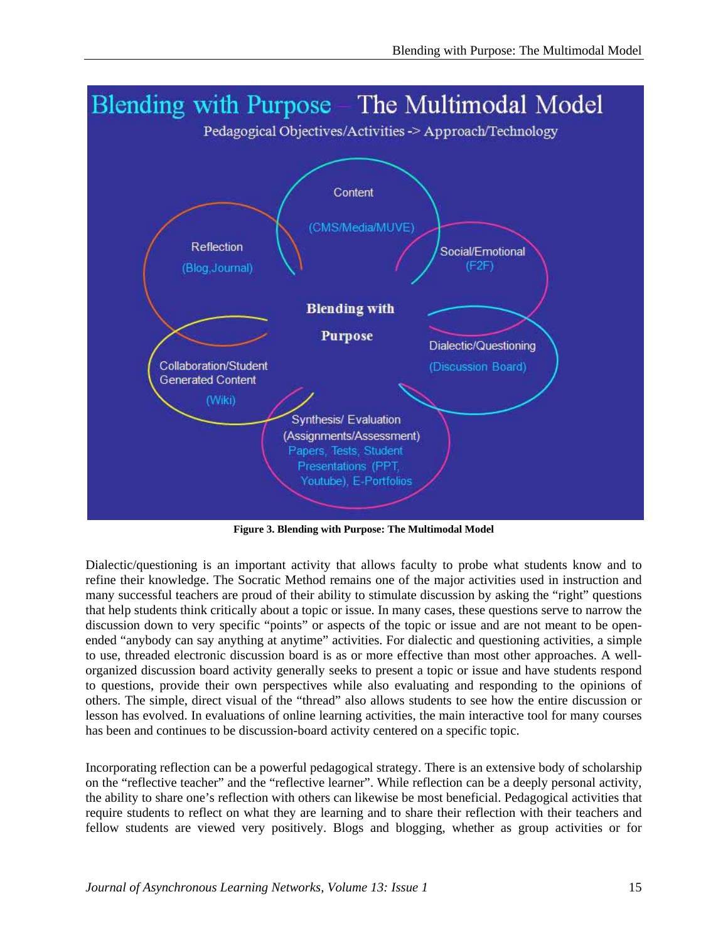

**Figure 3. Blending with Purpose: The Multimodal Model**

Dialectic/questioning is an important activity that allows faculty to probe what students know and to refine their knowledge. The Socratic Method remains one of the major activities used in instruction and many successful teachers are proud of their ability to stimulate discussion by asking the "right" questions that help students think critically about a topic or issue. In many cases, these questions serve to narrow the discussion down to very specific "points" or aspects of the topic or issue and are not meant to be openended "anybody can say anything at anytime" activities. For dialectic and questioning activities, a simple to use, threaded electronic discussion board is as or more effective than most other approaches. A wellorganized discussion board activity generally seeks to present a topic or issue and have students respond to questions, provide their own perspectives while also evaluating and responding to the opinions of others. The simple, direct visual of the "thread" also allows students to see how the entire discussion or lesson has evolved. In evaluations of online learning activities, the main interactive tool for many courses has been and continues to be discussion-board activity centered on a specific topic.

Incorporating reflection can be a powerful pedagogical strategy. There is an extensive body of scholarship on the "reflective teacher" and the "reflective learner". While reflection can be a deeply personal activity, the ability to share one's reflection with others can likewise be most beneficial. Pedagogical activities that require students to reflect on what they are learning and to share their reflection with their teachers and fellow students are viewed very positively. Blogs and blogging, whether as group activities or for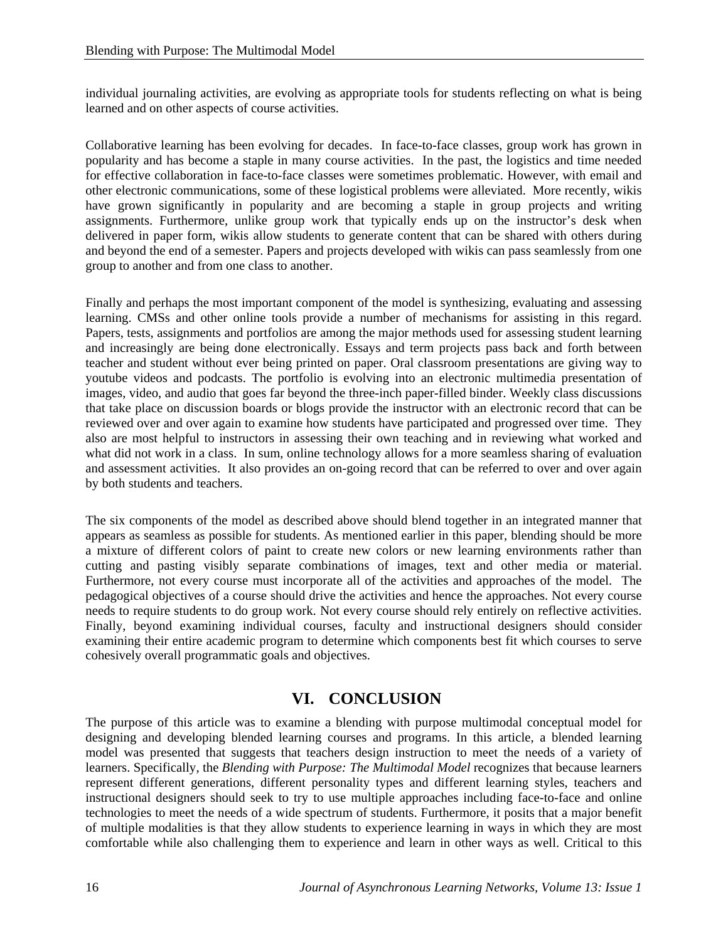individual journaling activities, are evolving as appropriate tools for students reflecting on what is being learned and on other aspects of course activities.

Collaborative learning has been evolving for decades. In face-to-face classes, group work has grown in popularity and has become a staple in many course activities. In the past, the logistics and time needed for effective collaboration in face-to-face classes were sometimes problematic. However, with email and other electronic communications, some of these logistical problems were alleviated. More recently, wikis have grown significantly in popularity and are becoming a staple in group projects and writing assignments. Furthermore, unlike group work that typically ends up on the instructor's desk when delivered in paper form, wikis allow students to generate content that can be shared with others during and beyond the end of a semester. Papers and projects developed with wikis can pass seamlessly from one group to another and from one class to another.

Finally and perhaps the most important component of the model is synthesizing, evaluating and assessing learning. CMSs and other online tools provide a number of mechanisms for assisting in this regard. Papers, tests, assignments and portfolios are among the major methods used for assessing student learning and increasingly are being done electronically. Essays and term projects pass back and forth between teacher and student without ever being printed on paper. Oral classroom presentations are giving way to youtube videos and podcasts. The portfolio is evolving into an electronic multimedia presentation of images, video, and audio that goes far beyond the three-inch paper-filled binder. Weekly class discussions that take place on discussion boards or blogs provide the instructor with an electronic record that can be reviewed over and over again to examine how students have participated and progressed over time. They also are most helpful to instructors in assessing their own teaching and in reviewing what worked and what did not work in a class. In sum, online technology allows for a more seamless sharing of evaluation and assessment activities. It also provides an on-going record that can be referred to over and over again by both students and teachers.

The six components of the model as described above should blend together in an integrated manner that appears as seamless as possible for students. As mentioned earlier in this paper, blending should be more a mixture of different colors of paint to create new colors or new learning environments rather than cutting and pasting visibly separate combinations of images, text and other media or material. Furthermore, not every course must incorporate all of the activities and approaches of the model. The pedagogical objectives of a course should drive the activities and hence the approaches. Not every course needs to require students to do group work. Not every course should rely entirely on reflective activities. Finally, beyond examining individual courses, faculty and instructional designers should consider examining their entire academic program to determine which components best fit which courses to serve cohesively overall programmatic goals and objectives.

# **VI. CONCLUSION**

The purpose of this article was to examine a blending with purpose multimodal conceptual model for designing and developing blended learning courses and programs. In this article, a blended learning model was presented that suggests that teachers design instruction to meet the needs of a variety of learners. Specifically, the *Blending with Purpose: The Multimodal Model* recognizes that because learners represent different generations, different personality types and different learning styles, teachers and instructional designers should seek to try to use multiple approaches including face-to-face and online technologies to meet the needs of a wide spectrum of students. Furthermore, it posits that a major benefit of multiple modalities is that they allow students to experience learning in ways in which they are most comfortable while also challenging them to experience and learn in other ways as well. Critical to this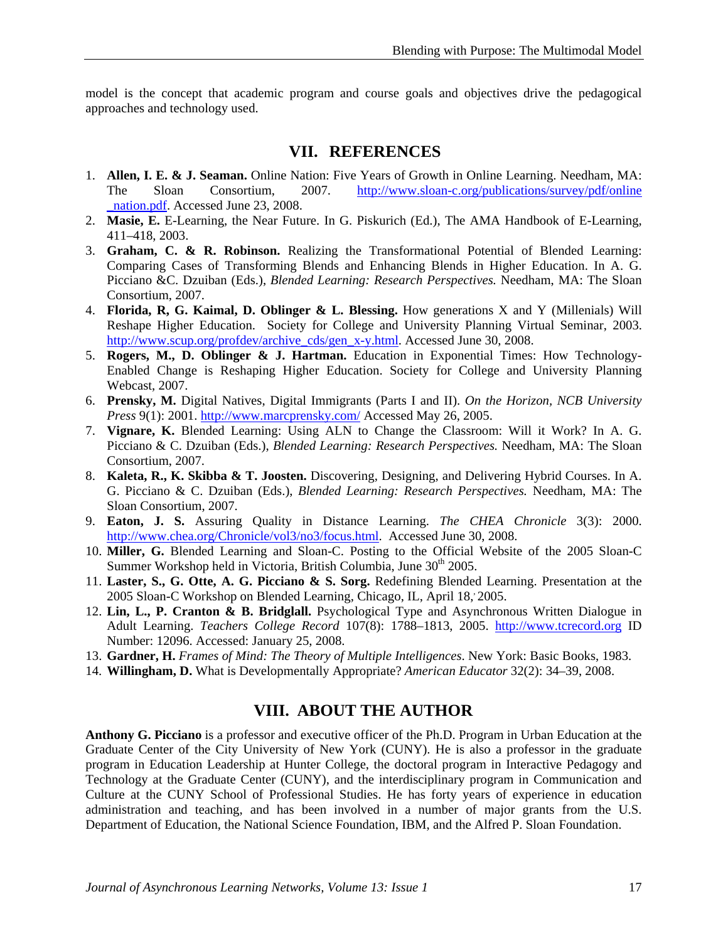model is the concept that academic program and course goals and objectives drive the pedagogical approaches and technology used.

#### **VII. REFERENCES**

- 1. **Allen, I. E. & J. Seaman.** Online Nation: Five Years of Growth in Online Learning. Needham, MA: The Sloan Consortium, 2007. http://www.sloan-c.org/publications/survey/pdf/online nation.pdf. Accessed June 23, 2008.
- 2. **Masie, E.** E-Learning, the Near Future. In G. Piskurich (Ed.), The AMA Handbook of E-Learning, 411–418, 2003.
- 3. **Graham, C. & R. Robinson.** Realizing the Transformational Potential of Blended Learning: Comparing Cases of Transforming Blends and Enhancing Blends in Higher Education. In A. G. Picciano &C. Dzuiban (Eds.), *Blended Learning: Research Perspectives.* Needham, MA: The Sloan Consortium, 2007.
- 4. **Florida, R, G. Kaimal, D. Oblinger & L. Blessing.** How generations X and Y (Millenials) Will Reshape Higher Education. Society for College and University Planning Virtual Seminar, 2003. http://www.scup.org/profdev/archive\_cds/gen\_x-y.html. Accessed June 30, 2008.
- Enabled Change is Reshaping Higher Education. Society for College and University Planning 5. **Rogers, M., D. Oblinger & J. Hartman.** Education in Exponential Times: How Technology-Webcast, 2007.
- 6. **Prensky, M.** Digital Natives, Digital Immigrants (Parts I and II). *On the Horizon, NCB University Press* 9(1): 2001. http://www.marcprensky.com/ Accessed May 26, 2005.
- 7. **Vignare, K.** Blended Learning: Using ALN to Change the Classroom: Will it Work? In A. G. Picciano & C. Dzuiban (Eds.), *Blended Learning: Research Perspectives.* Needham, MA: The Sloan Consortium, 2007.
- 8. **Kaleta, R., K. Skibba & T. Joosten.** Discovering, Designing, and Delivering Hybrid Courses. In A. G. Picciano & C. Dzuiban (Eds.), *Blended Learning: Research Perspectives.* Needham, MA: The Sloan Consortium, 2007.
- 9. **Eaton, J. S.** Assuring Quality in Distance Learning. *The CHEA Chronicle* 3(3): 2000. http://www.chea.org/Chronicle/vol3/no3/focus.html. Accessed June 30, 2008.
- 10. **Miller, G.** Blended Learning and Sloan-C. Posting to the Official Website of the 2005 Sloan-C Summer Workshop held in Victoria, British Columbia, June 30<sup>th</sup> 2005.
- 11. **Laster, S., G. Otte, A. G. Picciano & S. Sorg.** Redefining Blended Learning. Presentation at the 2005 Sloan-C Workshop on Blended Learning, Chicago, IL, April 18, 2005.
- 12. **Lin, L., P. Cranton & B. Bridglall.** Psychological Type and Asynchronous Written Dialogue in Adult Learning. *Teachers College Record* 107(8): 1788–1813, 2005. http://www.tcrecord.org ID Number: 12096. Accessed: January 25, 2008.
- 13. **Gardner, H.** *Frames of Mind: The Theory of Multiple Intelligences*. New York: Basic Books, 1983.
- 14. **Willingham, D.** What is Developmentally Appropriate? *American Educator* 32(2): 34–39, 2008.

## **VIII. ABOUT THE AUTHOR**

**Anthony G. Picciano** is a professor and executive officer of the Ph.D. Program in Urban Education at the Graduate Center of the City University of New York (CUNY). He is also a professor in the graduate program in Education Leadership at Hunter College, the doctoral program in Interactive Pedagogy and Technology at the Graduate Center (CUNY), and the interdisciplinary program in Communication and Culture at the CUNY School of Professional Studies. He has forty years of experience in education administration and teaching, and has been involved in a number of major grants from the U.S. Department of Education, the National Science Foundation, IBM, and the Alfred P. Sloan Foundation.